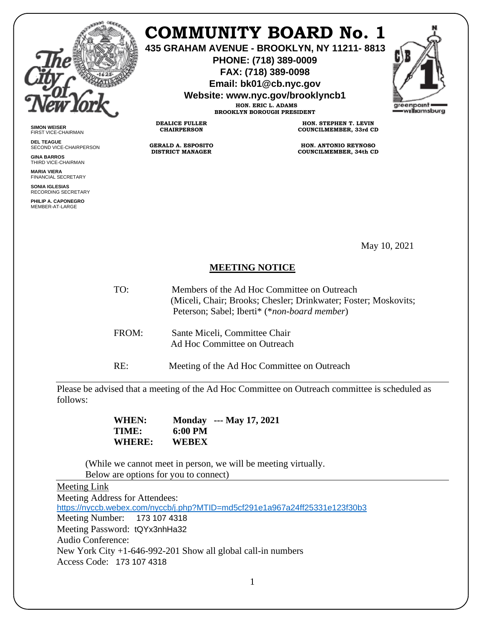

**SIMON WEISER** FIRST VICE-CHAIRMAN **DEL TEAGUE**

**GINA BARROS** THIRD VICE-CHAIRMAN **MARIA VIERA** FINANCIAL SECRETARY **SONIA IGLESIAS** RECORDING SECRETARY **PHILIP A. CAPONEGRO** MEMBER-AT-LARGE

SECOND VICE-CHAIRPERSON

# **COMMUNITY BOARD No. 1**

**435 GRAHAM AVENUE - BROOKLYN, NY 11211- 8813**

**PHONE: (718) 389-0009 FAX: (718) 389-0098**

**Email: bk01@cb.nyc.gov**

**Website: www.nyc.gov/brooklyncb1**



**HON. ERIC L. ADAMS BROOKLYN BOROUGH PRESIDENT**

**DEALICE FULLER CHAIRPERSON**

**GERALD A. ESPOSITO DISTRICT MANAGER**

**HON. STEPHEN T. LEVIN COUNCILMEMBER, 33rd CD**

**HON. ANTONIO REYNOSO COUNCILMEMBER, 34th CD**

May 10, 2021

## **MEETING NOTICE**

- TO: Members of the Ad Hoc Committee on Outreach (Miceli, Chair; Brooks; Chesler; Drinkwater; Foster; Moskovits; Peterson; Sabel; Iberti\* (\**non-board member*) FROM: Sante Miceli, Committee Chair
	- Ad Hoc Committee on Outreach

RE: Meeting of the Ad Hoc Committee on Outreach

Please be advised that a meeting of the Ad Hoc Committee on Outreach committee is scheduled as follows:

> **WHEN: Monday --- May 17, 2021 TIME: 6:00 PM WHERE: WEBEX**

(While we cannot meet in person, we will be meeting virtually. Below are options for you to connect)

## Meeting Link

Meeting Address for Attendees: <https://nyccb.webex.com/nyccb/j.php?MTID=md5cf291e1a967a24ff25331e123f30b3> Meeting Number: 173 107 4318 Meeting Password: tQYx3nhHa32 Audio Conference: New York City +1-646-992-201 Show all global call-in numbers Access Code: 173 107 4318